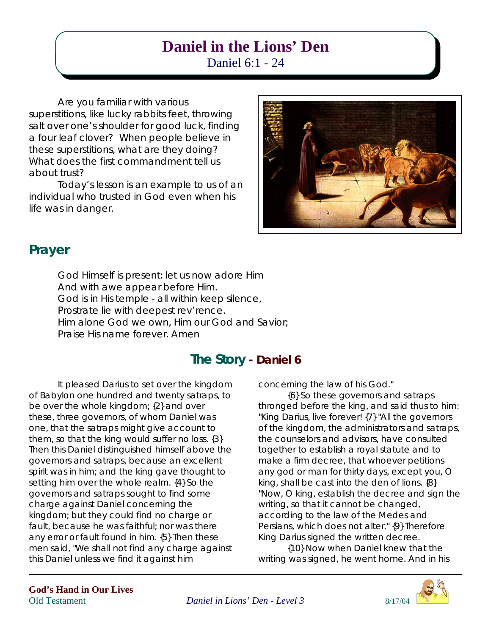# **Daniel in the Lions' Den**

Daniel 6:1 - 24

Are you familiar with various

superstitions, like lucky rabbits feet, throwing salt over one's shoulder for good luck, finding a four leaf clover? When people believe in these superstitions, what are they doing? What does the first commandment tell us about trust?

Today's lesson is an example to us of an individual who trusted in God even when his life was in danger.



## **Prayer**

God Himself is present: let us now adore Him And with awe appear before Him. God is in His temple - all within keep silence, Prostrate lie with deepest rev'rence. Him alone God we own, Him our God and Savior; Praise His name forever. Amen

## **The Story - Daniel 6**

It pleased Darius to set over the kingdom of Babylon one hundred and twenty satraps, to be over the whole kingdom; {2} and over these, three governors, of whom Daniel was one, that the satraps might give account to them, so that the king would suffer no loss. {3} Then this Daniel distinguished himself above the governors and satraps, because an excellent spirit was in him; and the king gave thought to setting him over the whole realm. {4} So the governors and satraps sought to find some charge against Daniel concerning the kingdom; but they could find no charge or fault, because he was faithful; nor was there any error or fault found in him. {5} Then these men said, "We shall not find any charge against this Daniel unless we find it against him

concerning the law of his God."

{6} So these governors and satraps thronged before the king, and said thus to him: "King Darius, live forever! {7} "All the governors of the kingdom, the administrators and satraps, the counselors and advisors, have consulted together to establish a royal statute and to make a firm decree, that whoever petitions any god or man for thirty days, except you, O king, shall be cast into the den of lions. {8} "Now, O king, establish the decree and sign the writing, so that it cannot be changed, according to the law of the Medes and Persians, which does not alter." {9} Therefore King Darius signed the written decree.

{10} Now when Daniel knew that the writing was signed, he went home. And in his

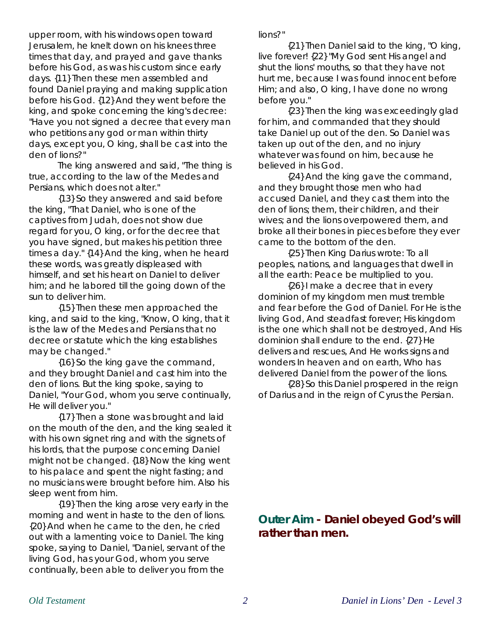upper room, with his windows open toward Jerusalem, he knelt down on his knees three times that day, and prayed and gave thanks before his God, as was his custom since early days. {11} Then these men assembled and found Daniel praying and making supplication before his God. {12} And they went before the king, and spoke concerning the king's decree: "Have you not signed a decree that every man who petitions any god or man within thirty days, except you, O king, shall be cast into the den of lions?"

The king answered and said, "The thing is true, according to the law of the Medes and Persians, which does not alter."

{13} So they answered and said before the king, "That Daniel, who is one of the captives from Judah, does not show due regard for you, O king, or for the decree that you have signed, but makes his petition three times a day." {14} And the king, when he heard these words, was greatly displeased with himself, and set his heart on Daniel to deliver him; and he labored till the going down of the sun to deliver him.

{15} Then these men approached the king, and said to the king, "Know, O king, that it is the law of the Medes and Persians that no decree or statute which the king establishes may be changed."

{16} So the king gave the command, and they brought Daniel and cast him into the den of lions. But the king spoke, saying to Daniel, "Your God, whom you serve continually, He will deliver you."

{17} Then a stone was brought and laid on the mouth of the den, and the king sealed it with his own signet ring and with the signets of his lords, that the purpose concerning Daniel might not be changed. {18} Now the king went to his palace and spent the night fasting; and no musicians were brought before him. Also his sleep went from him.

{19} Then the king arose very early in the morning and went in haste to the den of lions. {20} And when he came to the den, he cried out with a lamenting voice to Daniel. The king spoke, saying to Daniel, "Daniel, servant of the living God, has your God, whom you serve continually, been able to deliver you from the

lions?"

{21} Then Daniel said to the king, "O king, live forever! {22} "My God sent His angel and shut the lions' mouths, so that they have not hurt me, because I was found innocent before Him; and also, O king, I have done no wrong before you."

{23} Then the king was exceedingly glad for him, and commanded that they should take Daniel up out of the den. So Daniel was taken up out of the den, and no injury whatever was found on him, because he believed in his God.

{24} And the king gave the command, and they brought those men who had accused Daniel, and they cast them into the den of lions; them, their children, and their wives; and the lions overpowered them, and broke all their bones in pieces before they ever came to the bottom of the den.

{25} Then King Darius wrote: To all peoples, nations, and languages that dwell in all the earth: Peace be multiplied to you.

{26} I make a decree that in every dominion of my kingdom men must tremble and fear before the God of Daniel. For He is the living God, And steadfast forever; His kingdom is the one which shall not be destroyed, And His dominion shall endure to the end. {27} He delivers and rescues, And He works signs and wonders In heaven and on earth, Who has delivered Daniel from the power of the lions.

{28} So this Daniel prospered in the reign of Darius and in the reign of Cyrus the Persian.

**Outer Aim - Daniel obeyed God's will rather than men.**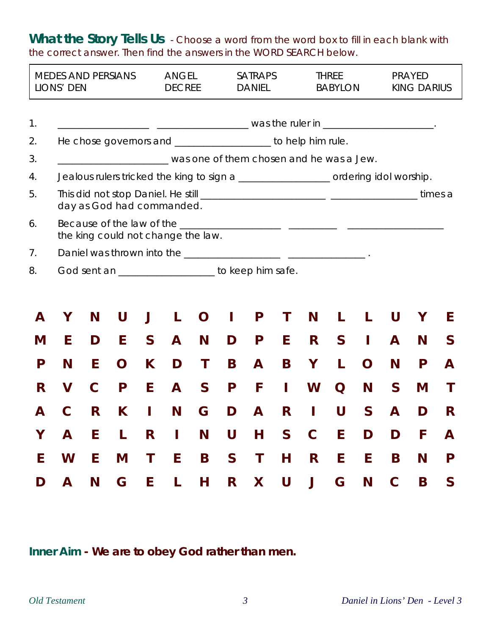What the Story Tells Us - Choose a word from the word box to fill in each blank with the correct answer. Then find the answers in the WORD SEARCH below.

| <b>MEDES AND PERSIANS</b><br>LIONS' DEN |                                                                                                                                |             |                                    |              | <b>ANGEL</b><br><b>DECREE</b> |                                                               |   | <b>SATRAPS</b><br><b>DANIEL</b> |              |              | <b>THREE</b><br><b>BABYLON</b> |   |              | <b>PRAYED</b><br><b>KING DARIUS</b> |   |  |  |
|-----------------------------------------|--------------------------------------------------------------------------------------------------------------------------------|-------------|------------------------------------|--------------|-------------------------------|---------------------------------------------------------------|---|---------------------------------|--------------|--------------|--------------------------------|---|--------------|-------------------------------------|---|--|--|
| 1.                                      |                                                                                                                                |             |                                    |              |                               |                                                               |   |                                 |              |              |                                |   |              |                                     |   |  |  |
| 2.                                      |                                                                                                                                |             |                                    |              |                               | He chose governors and ____________________ to help him rule. |   |                                 |              |              |                                |   |              |                                     |   |  |  |
| 3.                                      |                                                                                                                                |             |                                    |              |                               |                                                               |   |                                 |              |              |                                |   |              |                                     |   |  |  |
| 4.                                      | was one of them chosen and he was a Jew.<br>Jealous rulers tricked the king to sign a _________________ ordering idol worship. |             |                                    |              |                               |                                                               |   |                                 |              |              |                                |   |              |                                     |   |  |  |
| 5.                                      | day as God had commanded.                                                                                                      |             |                                    |              |                               |                                                               |   |                                 |              |              |                                |   |              | times a                             |   |  |  |
| 6.                                      |                                                                                                                                |             | the king could not change the law. |              |                               |                                                               |   |                                 |              |              |                                |   |              |                                     |   |  |  |
| 7 <sub>1</sub>                          |                                                                                                                                |             |                                    |              |                               |                                                               |   |                                 |              |              |                                |   |              |                                     |   |  |  |
| 8.                                      | God sent an ____________________ to keep him safe.                                                                             |             |                                    |              |                               |                                                               |   |                                 |              |              |                                |   |              |                                     |   |  |  |
|                                         |                                                                                                                                |             |                                    |              |                               |                                                               |   |                                 |              |              |                                |   |              |                                     |   |  |  |
| A                                       | Y                                                                                                                              | N           | U                                  |              | L                             | O                                                             | T | P                               | Τ            | N            | L                              | L | U            | Υ                                   | E |  |  |
| M                                       | E                                                                                                                              | D           | E                                  | $\mathsf{S}$ | $\mathsf{A}$                  | N                                                             | D | P                               | E            | R            | $\mathsf{S}$                   | I | A            | N                                   | S |  |  |
| P                                       | N                                                                                                                              | E           | O                                  | K            | D                             | T                                                             | B | A                               | B            | Y            | L                              | O | N            | P                                   | A |  |  |
| R                                       | V                                                                                                                              | $\mathbf C$ | P                                  | E            | A                             | $\mathsf{S}$                                                  | P | F                               | Т            | W            | O                              | N | $\mathsf{S}$ | M                                   | T |  |  |
| А                                       |                                                                                                                                | R           | K.                                 | I            | N                             | G                                                             | D | A                               | R            | I            | U                              | S | A            | D                                   | R |  |  |
| Y                                       | A                                                                                                                              | E           | L                                  | R            | $\mathbf{I}$                  | N                                                             | U | H                               | $\mathsf{S}$ | $\mathbf C$  | E                              | D | D            | F                                   | A |  |  |
| E                                       | W                                                                                                                              | E           | M                                  | T            | E                             | B                                                             | S | T                               | Н            | $\mathsf{R}$ | E                              | E | B            | N                                   | P |  |  |
| D                                       | A                                                                                                                              | N           | G                                  | E            | L                             | H                                                             | R | X.                              | U            | $\mathsf J$  | G                              | N | $\mathsf{C}$ | B                                   | S |  |  |

**Inner Aim - We are to obey God rather than men.**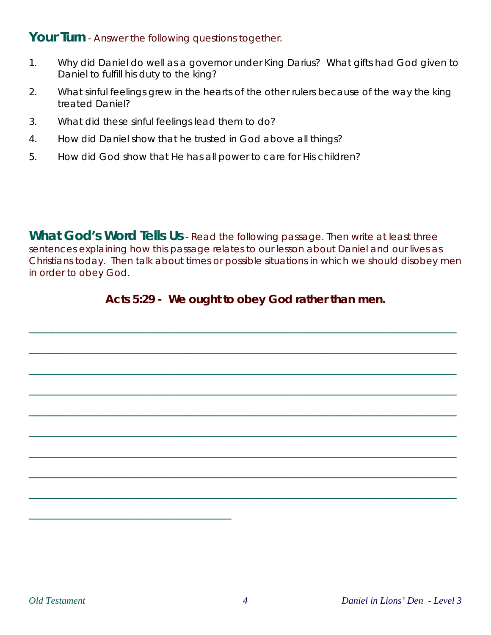#### Your Turn - Answer the following questions together.

- 1. Why did Daniel do well as a governor under King Darius? What gifts had God given to Daniel to fulfill his duty to the king?
- 2. What sinful feelings grew in the hearts of the other rulers because of the way the king treated Daniel?
- 3. What did these sinful feelings lead them to do?
- 4. How did Daniel show that he trusted in God above all things?
- 5. How did God show that He has all power to care for His children?

**What God's Word Tells Us** - Read the following passage. Then write at least three sentences explaining how this passage relates to our lesson about Daniel and our lives as Christians today. Then talk about times or possible situations in which we should disobey men in order to obey God.

### **Acts 5:29 - We ought to obey God rather than men.**

\_\_\_\_\_\_\_\_\_\_\_\_\_\_\_\_\_\_\_\_\_\_\_\_\_\_\_\_\_\_\_\_\_\_\_\_\_\_\_\_\_\_\_\_\_\_\_\_\_\_\_\_\_\_\_\_\_\_\_\_\_\_\_\_\_\_\_\_\_\_\_\_\_\_\_\_

\_\_\_\_\_\_\_\_\_\_\_\_\_\_\_\_\_\_\_\_\_\_\_\_\_\_\_\_\_\_\_\_\_\_\_\_\_\_\_\_\_\_\_\_\_\_\_\_\_\_\_\_\_\_\_\_\_\_\_\_\_\_\_\_\_\_\_\_\_\_\_\_\_\_\_\_

\_\_\_\_\_\_\_\_\_\_\_\_\_\_\_\_\_\_\_\_\_\_\_\_\_\_\_\_\_\_\_\_\_\_\_\_\_\_\_\_\_\_\_\_\_\_\_\_\_\_\_\_\_\_\_\_\_\_\_\_\_\_\_\_\_\_\_\_\_\_\_\_\_\_\_\_

\_\_\_\_\_\_\_\_\_\_\_\_\_\_\_\_\_\_\_\_\_\_\_\_\_\_\_\_\_\_\_\_\_\_\_\_\_\_\_\_\_\_\_\_\_\_\_\_\_\_\_\_\_\_\_\_\_\_\_\_\_\_\_\_\_\_\_\_\_\_\_\_\_\_\_\_

\_\_\_\_\_\_\_\_\_\_\_\_\_\_\_\_\_\_\_\_\_\_\_\_\_\_\_\_\_\_\_\_\_\_\_\_\_\_\_\_\_\_\_\_\_\_\_\_\_\_\_\_\_\_\_\_\_\_\_\_\_\_\_\_\_\_\_\_\_\_\_\_\_\_\_\_

\_\_\_\_\_\_\_\_\_\_\_\_\_\_\_\_\_\_\_\_\_\_\_\_\_\_\_\_\_\_\_\_\_\_\_\_\_\_\_\_\_\_\_\_\_\_\_\_\_\_\_\_\_\_\_\_\_\_\_\_\_\_\_\_\_\_\_\_\_\_\_\_\_\_\_\_

\_\_\_\_\_\_\_\_\_\_\_\_\_\_\_\_\_\_\_\_\_\_\_\_\_\_\_\_\_\_\_\_\_\_\_\_\_\_\_\_\_\_\_\_\_\_\_\_\_\_\_\_\_\_\_\_\_\_\_\_\_\_\_\_\_\_\_\_\_\_\_\_\_\_\_\_

\_\_\_\_\_\_\_\_\_\_\_\_\_\_\_\_\_\_\_\_\_\_\_\_\_\_\_\_\_\_\_\_\_\_\_\_\_\_\_\_\_\_\_\_\_\_\_\_\_\_\_\_\_\_\_\_\_\_\_\_\_\_\_\_\_\_\_\_\_\_\_\_\_\_\_\_

\_\_\_\_\_\_\_\_\_\_\_\_\_\_\_\_\_\_\_\_\_\_\_\_\_\_\_\_\_\_\_\_\_\_\_\_\_\_\_\_\_\_\_\_\_\_\_\_\_\_\_\_\_\_\_\_\_\_\_\_\_\_\_\_\_\_\_\_\_\_\_\_\_\_\_\_

\_\_\_\_\_\_\_\_\_\_\_\_\_\_\_\_\_\_\_\_\_\_\_\_\_\_\_\_\_\_\_\_\_\_\_\_